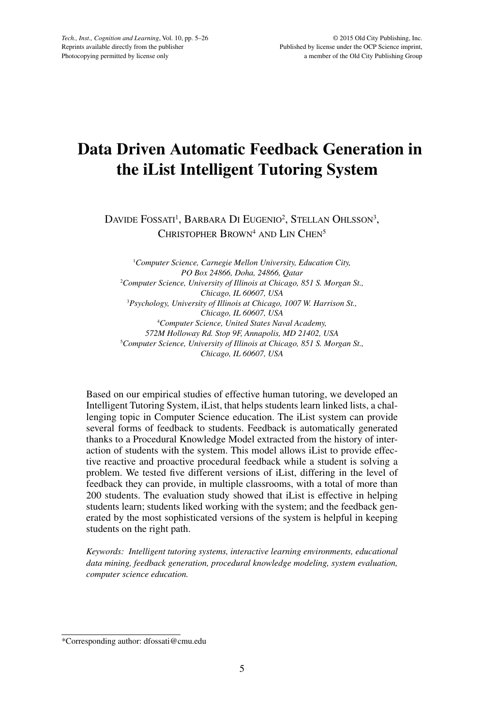# **Data Driven Automatic Feedback Generation in the iList Intelligent Tutoring System**

DAVIDE FOSSATI<sup>1</sup>, BARBARA DI EUGENIO<sup>2</sup>, STELLAN OHLSSON<sup>3</sup>, CHRISTOPHER BROWN<sup>4</sup> AND LIN CHEN<sup>5</sup>

1 *Computer Science, Carnegie Mellon University, Education City, PO Box 24866, Doha, 24866, Qatar* 2 *Computer Science, University of Illinois at Chicago, 851 S. Morgan St., Chicago, IL 60607, USA* 3 *Psychology, University of Illinois at Chicago, 1007 W. Harrison St., Chicago, IL 60607, USA* 4 *Computer Science, United States Naval Academy, 572M Holloway Rd. Stop 9F, Annapolis, MD 21402, USA* 5 *Computer Science, University of Illinois at Chicago, 851 S. Morgan St., Chicago, IL 60607, USA*

Based on our empirical studies of effective human tutoring, we developed an Intelligent Tutoring System, iList, that helps students learn linked lists, a challenging topic in Computer Science education. The iList system can provide several forms of feedback to students. Feedback is automatically generated thanks to a Procedural Knowledge Model extracted from the history of interaction of students with the system. This model allows iList to provide effective reactive and proactive procedural feedback while a student is solving a problem. We tested five different versions of iList, differing in the level of feedback they can provide, in multiple classrooms, with a total of more than 200 students. The evaluation study showed that iList is effective in helping students learn; students liked working with the system; and the feedback generated by the most sophisticated versions of the system is helpful in keeping students on the right path.

*Keywords: Intelligent tutoring systems, interactive learning environments, educational data mining, feedback generation, procedural knowledge modeling, system evaluation, computer science education.*

<sup>\*</sup>Corresponding author: dfossati@cmu.edu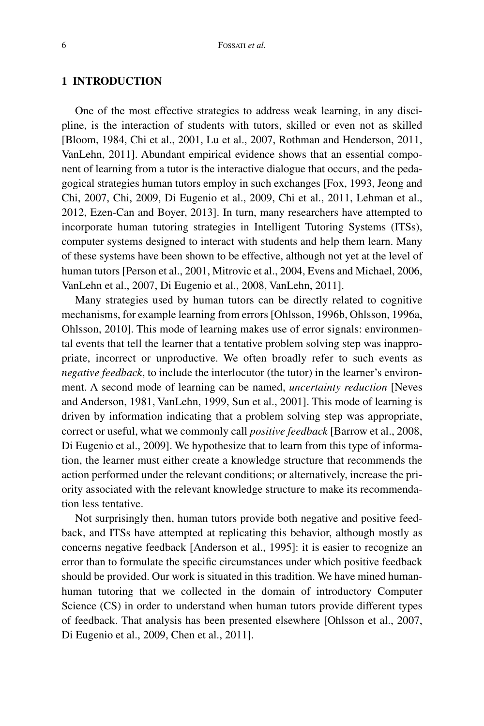# **1 INTRODUCTION**

One of the most effective strategies to address weak learning, in any discipline, is the interaction of students with tutors, skilled or even not as skilled [Bloom, 1984, Chi et al., 2001, Lu et al., 2007, Rothman and Henderson, 2011, VanLehn, 2011]. Abundant empirical evidence shows that an essential component of learning from a tutor is the interactive dialogue that occurs, and the pedagogical strategies human tutors employ in such exchanges [Fox, 1993, Jeong and Chi, 2007, Chi, 2009, Di Eugenio et al., 2009, Chi et al., 2011, Lehman et al., 2012, Ezen-Can and Boyer, 2013]. In turn, many researchers have attempted to incorporate human tutoring strategies in Intelligent Tutoring Systems (ITSs), computer systems designed to interact with students and help them learn. Many of these systems have been shown to be effective, although not yet at the level of human tutors [Person et al., 2001, Mitrovic et al., 2004, Evens and Michael, 2006, VanLehn et al., 2007, Di Eugenio et al., 2008, VanLehn, 2011].

Many strategies used by human tutors can be directly related to cognitive mechanisms, for example learning from errors [Ohlsson, 1996b, Ohlsson, 1996a, Ohlsson, 2010]. This mode of learning makes use of error signals: environmental events that tell the learner that a tentative problem solving step was inappropriate, incorrect or unproductive. We often broadly refer to such events as *negative feedback*, to include the interlocutor (the tutor) in the learner's environment. A second mode of learning can be named, *uncertainty reduction* [Neves and Anderson, 1981, VanLehn, 1999, Sun et al., 2001]. This mode of learning is driven by information indicating that a problem solving step was appropriate, correct or useful, what we commonly call *positive feedback* [Barrow et al., 2008, Di Eugenio et al., 2009]. We hypothesize that to learn from this type of information, the learner must either create a knowledge structure that recommends the action performed under the relevant conditions; or alternatively, increase the priority associated with the relevant knowledge structure to make its recommendation less tentative.

Not surprisingly then, human tutors provide both negative and positive feedback, and ITSs have attempted at replicating this behavior, although mostly as concerns negative feedback [Anderson et al., 1995]: it is easier to recognize an error than to formulate the specific circumstances under which positive feedback should be provided. Our work is situated in this tradition. We have mined humanhuman tutoring that we collected in the domain of introductory Computer Science (CS) in order to understand when human tutors provide different types of feedback. That analysis has been presented elsewhere [Ohlsson et al., 2007, Di Eugenio et al., 2009, Chen et al., 2011].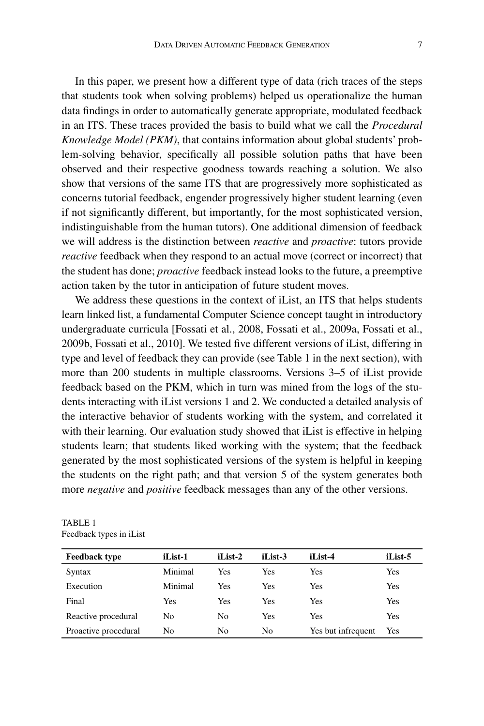In this paper, we present how a different type of data (rich traces of the steps that students took when solving problems) helped us operationalize the human data findings in order to automatically generate appropriate, modulated feedback in an ITS. These traces provided the basis to build what we call the *Procedural Knowledge Model (PKM)*, that contains information about global students' problem-solving behavior, specifically all possible solution paths that have been observed and their respective goodness towards reaching a solution. We also show that versions of the same ITS that are progressively more sophisticated as concerns tutorial feedback, engender progressively higher student learning (even if not significantly different, but importantly, for the most sophisticated version, indistinguishable from the human tutors). One additional dimension of feedback we will address is the distinction between *reactive* and *proactive*: tutors provide *reactive* feedback when they respond to an actual move (correct or incorrect) that the student has done; *proactive* feedback instead looks to the future, a preemptive action taken by the tutor in anticipation of future student moves.

We address these questions in the context of iList, an ITS that helps students learn linked list, a fundamental Computer Science concept taught in introductory undergraduate curricula [Fossati et al., 2008, Fossati et al., 2009a, Fossati et al., 2009b, Fossati et al., 2010]. We tested five different versions of iList, differing in type and level of feedback they can provide (see Table 1 in the next section), with more than 200 students in multiple classrooms. Versions 3–5 of iList provide feedback based on the PKM, which in turn was mined from the logs of the students interacting with iList versions 1 and 2. We conducted a detailed analysis of the interactive behavior of students working with the system, and correlated it with their learning. Our evaluation study showed that iList is effective in helping students learn; that students liked working with the system; that the feedback generated by the most sophisticated versions of the system is helpful in keeping the students on the right path; and that version 5 of the system generates both more *negative* and *positive* feedback messages than any of the other versions.

| <b>Feedback type</b> | iList-1 | iList-2 | iList-3 | iList-4            | iList-5 |
|----------------------|---------|---------|---------|--------------------|---------|
| Syntax               | Minimal | Yes     | Yes     | Yes                | Yes     |
| Execution            | Minimal | Yes     | Yes     | Yes                | Yes     |
| Final                | Yes     | Yes     | Yes     | Yes                | Yes     |
| Reactive procedural  | No      | No      | Yes     | Yes                | Yes     |
| Proactive procedural | No      | No      | No.     | Yes but infrequent | Yes     |

TABLE 1 Feedback types in iList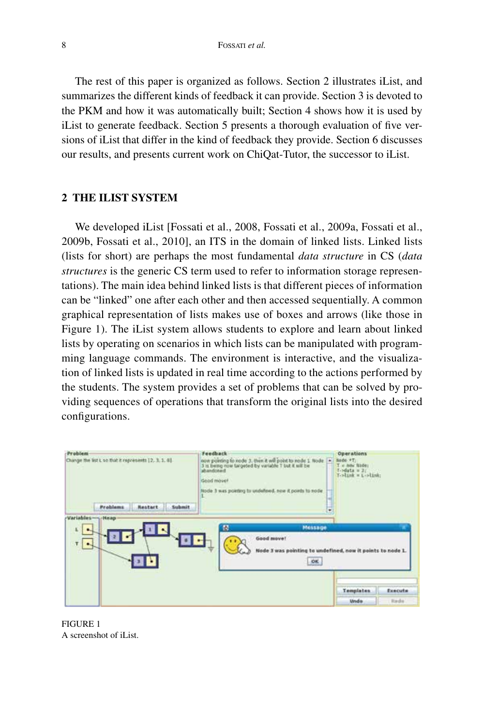The rest of this paper is organized as follows. Section 2 illustrates iList, and summarizes the different kinds of feedback it can provide. Section 3 is devoted to the PKM and how it was automatically built; Section 4 shows how it is used by iList to generate feedback. Section 5 presents a thorough evaluation of five versions of iList that differ in the kind of feedback they provide. Section 6 discusses our results, and presents current work on ChiQat-Tutor, the successor to iList.

## **2 THE ILIST SYSTEM**

We developed iList [Fossati et al., 2008, Fossati et al., 2009a, Fossati et al., 2009b, Fossati et al., 2010], an ITS in the domain of linked lists. Linked lists (lists for short) are perhaps the most fundamental *data structure* in CS (*data structures* is the generic CS term used to refer to information storage representations). The main idea behind linked lists is that different pieces of information can be "linked" one after each other and then accessed sequentially. A common graphical representation of lists makes use of boxes and arrows (like those in Figure 1). The iList system allows students to explore and learn about linked lists by operating on scenarios in which lists can be manipulated with programming language commands. The environment is interactive, and the visualization of linked lists is updated in real time according to the actions performed by the students. The system provides a set of problems that can be solved by providing sequences of operations that transform the original lists into the desired configurations.



FIGURE 1 A screenshot of iList.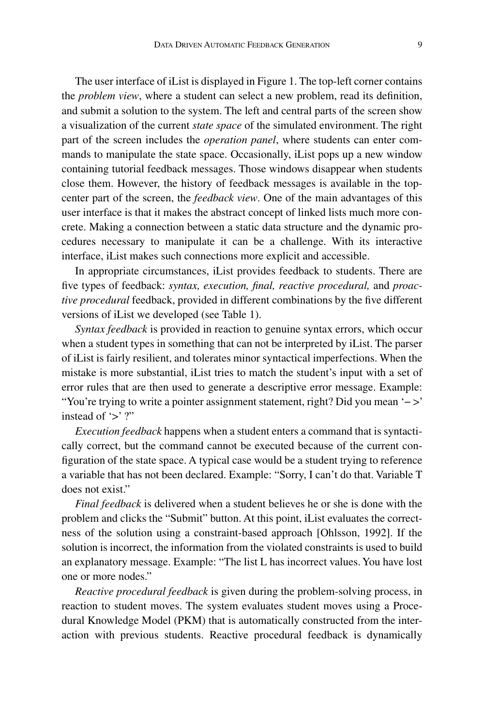The user interface of iList is displayed in Figure 1. The top-left corner contains the *problem view*, where a student can select a new problem, read its definition, and submit a solution to the system. The left and central parts of the screen show a visualization of the current *state space* of the simulated environment. The right part of the screen includes the *operation panel*, where students can enter commands to manipulate the state space. Occasionally, iList pops up a new window containing tutorial feedback messages. Those windows disappear when students close them. However, the history of feedback messages is available in the topcenter part of the screen, the *feedback view*. One of the main advantages of this user interface is that it makes the abstract concept of linked lists much more concrete. Making a connection between a static data structure and the dynamic procedures necessary to manipulate it can be a challenge. With its interactive interface, iList makes such connections more explicit and accessible.

In appropriate circumstances, iList provides feedback to students. There are five types of feedback: *syntax, execution, final, reactive procedural,* and *proactive procedural* feedback, provided in different combinations by the five different versions of iList we developed (see Table 1).

*Syntax feedback* is provided in reaction to genuine syntax errors, which occur when a student types in something that can not be interpreted by iList. The parser of iList is fairly resilient, and tolerates minor syntactical imperfections. When the mistake is more substantial, iList tries to match the student's input with a set of error rules that are then used to generate a descriptive error message. Example: "You're trying to write a pointer assignment statement, right? Did you mean '− >' instead of  $\leq$  ?"

*Execution feedback* happens when a student enters a command that is syntactically correct, but the command cannot be executed because of the current configuration of the state space. A typical case would be a student trying to reference a variable that has not been declared. Example: "Sorry, I can't do that. Variable T does not exist."

*Final feedback* is delivered when a student believes he or she is done with the problem and clicks the "Submit" button. At this point, iList evaluates the correctness of the solution using a constraint-based approach [Ohlsson, 1992]. If the solution is incorrect, the information from the violated constraints is used to build an explanatory message. Example: "The list L has incorrect values. You have lost one or more nodes."

*Reactive procedural feedback* is given during the problem-solving process, in reaction to student moves. The system evaluates student moves using a Procedural Knowledge Model (PKM) that is automatically constructed from the interaction with previous students. Reactive procedural feedback is dynamically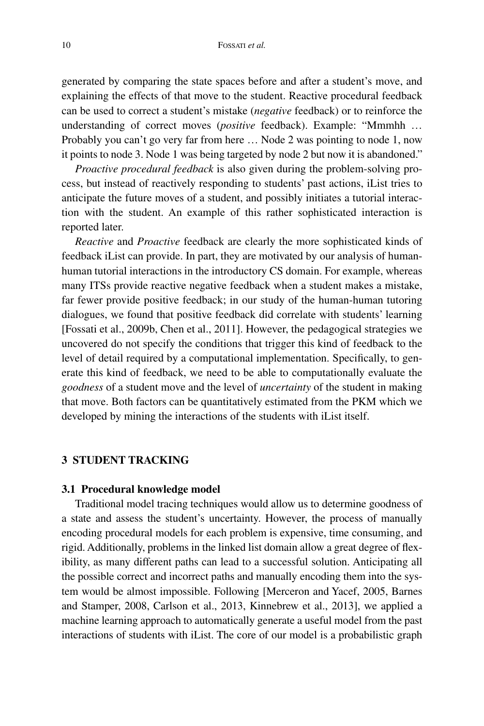generated by comparing the state spaces before and after a student's move, and explaining the effects of that move to the student. Reactive procedural feedback can be used to correct a student's mistake (*negative* feedback) or to reinforce the understanding of correct moves (*positive* feedback). Example: "Mmmhh … Probably you can't go very far from here … Node 2 was pointing to node 1, now it points to node 3. Node 1 was being targeted by node 2 but now it is abandoned."

*Proactive procedural feedback* is also given during the problem-solving process, but instead of reactively responding to students' past actions, iList tries to anticipate the future moves of a student, and possibly initiates a tutorial interaction with the student. An example of this rather sophisticated interaction is reported later.

*Reactive* and *Proactive* feedback are clearly the more sophisticated kinds of feedback iList can provide. In part, they are motivated by our analysis of humanhuman tutorial interactions in the introductory CS domain. For example, whereas many ITSs provide reactive negative feedback when a student makes a mistake, far fewer provide positive feedback; in our study of the human-human tutoring dialogues, we found that positive feedback did correlate with students' learning [Fossati et al., 2009b, Chen et al., 2011]. However, the pedagogical strategies we uncovered do not specify the conditions that trigger this kind of feedback to the level of detail required by a computational implementation. Specifically, to generate this kind of feedback, we need to be able to computationally evaluate the *goodness* of a student move and the level of *uncertainty* of the student in making that move. Both factors can be quantitatively estimated from the PKM which we developed by mining the interactions of the students with iList itself.

## **3 STUDENT TRACKING**

#### **3.1 Procedural knowledge model**

Traditional model tracing techniques would allow us to determine goodness of a state and assess the student's uncertainty. However, the process of manually encoding procedural models for each problem is expensive, time consuming, and rigid. Additionally, problems in the linked list domain allow a great degree of flexibility, as many different paths can lead to a successful solution. Anticipating all the possible correct and incorrect paths and manually encoding them into the system would be almost impossible. Following [Merceron and Yacef, 2005, Barnes and Stamper, 2008, Carlson et al., 2013, Kinnebrew et al., 2013], we applied a machine learning approach to automatically generate a useful model from the past interactions of students with iList. The core of our model is a probabilistic graph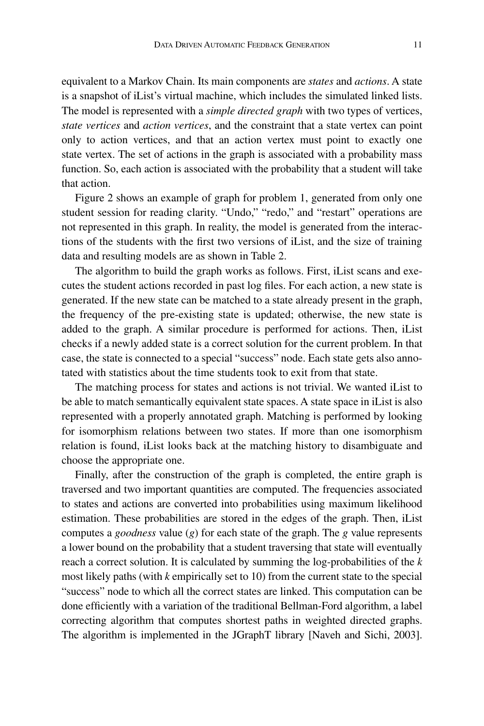equivalent to a Markov Chain. Its main components are *states* and *actions*. A state is a snapshot of iList's virtual machine, which includes the simulated linked lists. The model is represented with a *simple directed graph* with two types of vertices, *state vertices* and *action vertices*, and the constraint that a state vertex can point only to action vertices, and that an action vertex must point to exactly one state vertex. The set of actions in the graph is associated with a probability mass function. So, each action is associated with the probability that a student will take that action.

Figure 2 shows an example of graph for problem 1, generated from only one student session for reading clarity. "Undo," "redo," and "restart" operations are not represented in this graph. In reality, the model is generated from the interactions of the students with the first two versions of iList, and the size of training data and resulting models are as shown in Table 2.

The algorithm to build the graph works as follows. First, iList scans and executes the student actions recorded in past log files. For each action, a new state is generated. If the new state can be matched to a state already present in the graph, the frequency of the pre-existing state is updated; otherwise, the new state is added to the graph. A similar procedure is performed for actions. Then, iList checks if a newly added state is a correct solution for the current problem. In that case, the state is connected to a special "success" node. Each state gets also annotated with statistics about the time students took to exit from that state.

The matching process for states and actions is not trivial. We wanted iList to be able to match semantically equivalent state spaces. A state space in iList is also represented with a properly annotated graph. Matching is performed by looking for isomorphism relations between two states. If more than one isomorphism relation is found, iList looks back at the matching history to disambiguate and choose the appropriate one.

Finally, after the construction of the graph is completed, the entire graph is traversed and two important quantities are computed. The frequencies associated to states and actions are converted into probabilities using maximum likelihood estimation. These probabilities are stored in the edges of the graph. Then, iList computes a *goodness* value (*g*) for each state of the graph. The *g* value represents a lower bound on the probability that a student traversing that state will eventually reach a correct solution. It is calculated by summing the log-probabilities of the *k* most likely paths (with *k* empirically set to 10) from the current state to the special "success" node to which all the correct states are linked. This computation can be done efficiently with a variation of the traditional Bellman-Ford algorithm, a label correcting algorithm that computes shortest paths in weighted directed graphs. The algorithm is implemented in the JGraphT library [Naveh and Sichi, 2003].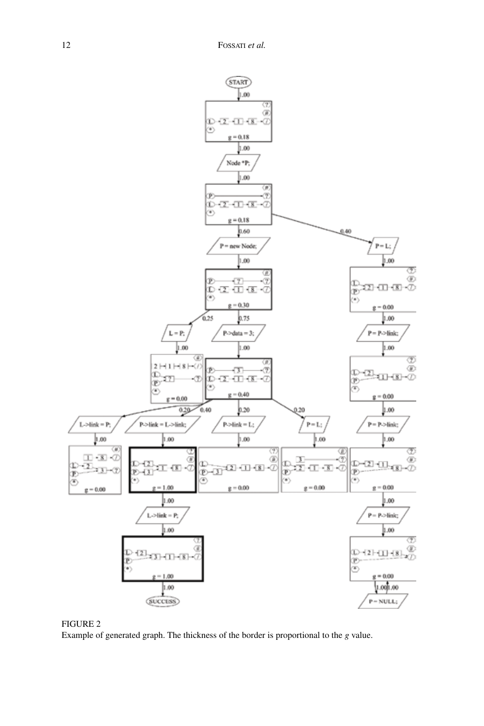

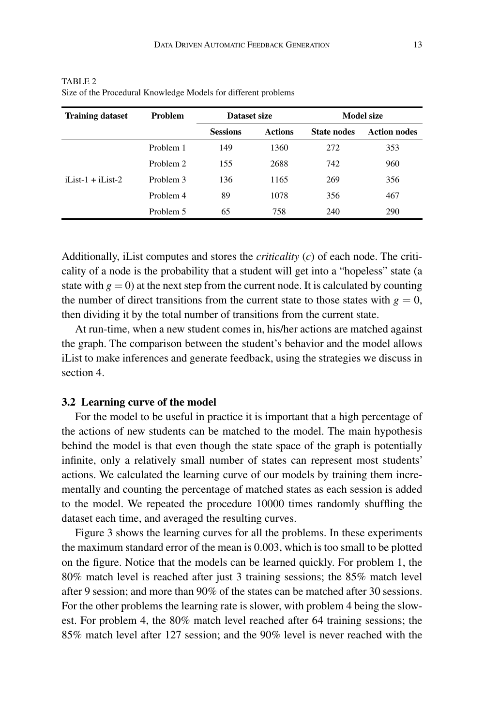| <b>Training dataset</b>          | <b>Problem</b> | Dataset size    |         | Model size         |                     |  |  |
|----------------------------------|----------------|-----------------|---------|--------------------|---------------------|--|--|
|                                  |                | <b>Sessions</b> | Actions | <b>State nodes</b> | <b>Action nodes</b> |  |  |
| $\overline{1}$ iList-1 + iList-2 | Problem 1      | 149             | 1360    | 272                | 353                 |  |  |
|                                  | Problem 2      | 155             | 2688    | 742                | 960                 |  |  |
|                                  | Problem 3      | 136             | 1165    | 269                | 356                 |  |  |
|                                  | Problem 4      | 89              | 1078    | 356                | 467                 |  |  |
|                                  | Problem 5      | 65              | 758     | 240                | 290                 |  |  |

TABLE 2 Size of the Procedural Knowledge Models for different problems

Additionally, iList computes and stores the *criticality* (*c*) of each node. The criticality of a node is the probability that a student will get into a "hopeless" state (a state with  $g = 0$ ) at the next step from the current node. It is calculated by counting the number of direct transitions from the current state to those states with  $g = 0$ , then dividing it by the total number of transitions from the current state.

At run-time, when a new student comes in, his/her actions are matched against the graph. The comparison between the student's behavior and the model allows iList to make inferences and generate feedback, using the strategies we discuss in section 4.

## **3.2 Learning curve of the model**

For the model to be useful in practice it is important that a high percentage of the actions of new students can be matched to the model. The main hypothesis behind the model is that even though the state space of the graph is potentially infinite, only a relatively small number of states can represent most students' actions. We calculated the learning curve of our models by training them incrementally and counting the percentage of matched states as each session is added to the model. We repeated the procedure 10000 times randomly shuffling the dataset each time, and averaged the resulting curves.

Figure 3 shows the learning curves for all the problems. In these experiments the maximum standard error of the mean is 0.003, which is too small to be plotted on the figure. Notice that the models can be learned quickly. For problem 1, the 80% match level is reached after just 3 training sessions; the 85% match level after 9 session; and more than 90% of the states can be matched after 30 sessions. For the other problems the learning rate is slower, with problem 4 being the slowest. For problem 4, the 80% match level reached after 64 training sessions; the 85% match level after 127 session; and the 90% level is never reached with the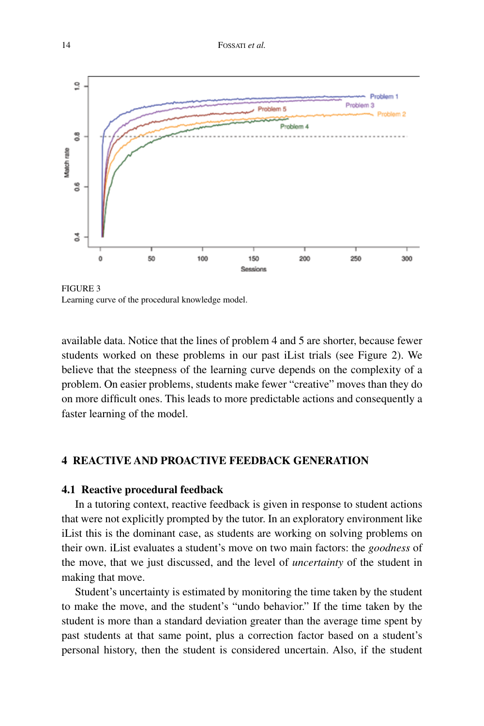

Figure 3 Learning curve of the procedural knowledge model.

available data. Notice that the lines of problem 4 and 5 are shorter, because fewer students worked on these problems in our past iList trials (see Figure 2). We believe that the steepness of the learning curve depends on the complexity of a problem. On easier problems, students make fewer "creative" moves than they do on more difficult ones. This leads to more predictable actions and consequently a faster learning of the model.

# **4 REACTIVE AND PROACTIVE FEEDBACK GENERATION**

## **4.1 Reactive procedural feedback**

In a tutoring context, reactive feedback is given in response to student actions that were not explicitly prompted by the tutor. In an exploratory environment like iList this is the dominant case, as students are working on solving problems on their own. iList evaluates a student's move on two main factors: the *goodness* of the move, that we just discussed, and the level of *uncertainty* of the student in making that move.

Student's uncertainty is estimated by monitoring the time taken by the student to make the move, and the student's "undo behavior." If the time taken by the student is more than a standard deviation greater than the average time spent by past students at that same point, plus a correction factor based on a student's personal history, then the student is considered uncertain. Also, if the student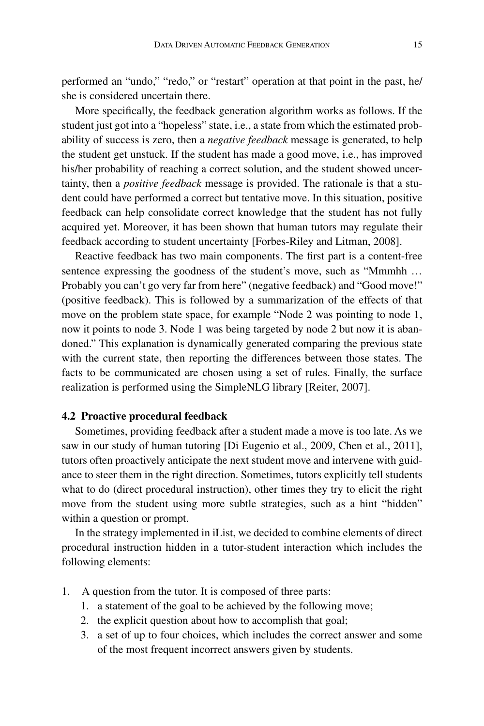performed an "undo," "redo," or "restart" operation at that point in the past, he/ she is considered uncertain there.

More specifically, the feedback generation algorithm works as follows. If the student just got into a "hopeless" state, i.e., a state from which the estimated probability of success is zero, then a *negative feedback* message is generated, to help the student get unstuck. If the student has made a good move, i.e., has improved his/her probability of reaching a correct solution, and the student showed uncertainty, then a *positive feedback* message is provided. The rationale is that a student could have performed a correct but tentative move. In this situation, positive feedback can help consolidate correct knowledge that the student has not fully acquired yet. Moreover, it has been shown that human tutors may regulate their feedback according to student uncertainty [Forbes-Riley and Litman, 2008].

Reactive feedback has two main components. The first part is a content-free sentence expressing the goodness of the student's move, such as "Mmmhh ... Probably you can't go very far from here" (negative feedback) and "Good move!" (positive feedback). This is followed by a summarization of the effects of that move on the problem state space, for example "Node 2 was pointing to node 1, now it points to node 3. Node 1 was being targeted by node 2 but now it is abandoned." This explanation is dynamically generated comparing the previous state with the current state, then reporting the differences between those states. The facts to be communicated are chosen using a set of rules. Finally, the surface realization is performed using the SimpleNLG library [Reiter, 2007].

#### **4.2 Proactive procedural feedback**

Sometimes, providing feedback after a student made a move is too late. As we saw in our study of human tutoring [Di Eugenio et al., 2009, Chen et al., 2011], tutors often proactively anticipate the next student move and intervene with guidance to steer them in the right direction. Sometimes, tutors explicitly tell students what to do (direct procedural instruction), other times they try to elicit the right move from the student using more subtle strategies, such as a hint "hidden" within a question or prompt.

In the strategy implemented in iList, we decided to combine elements of direct procedural instruction hidden in a tutor-student interaction which includes the following elements:

- 1. A question from the tutor. It is composed of three parts:
	- 1. a statement of the goal to be achieved by the following move;
	- 2. the explicit question about how to accomplish that goal;
	- 3. a set of up to four choices, which includes the correct answer and some of the most frequent incorrect answers given by students.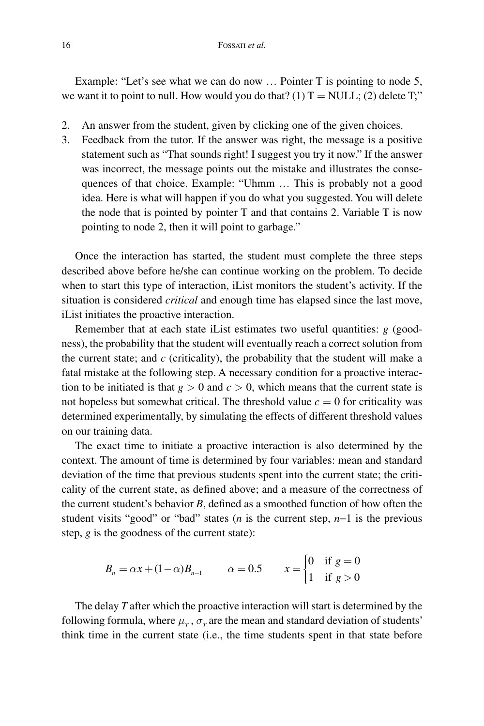Example: "Let's see what we can do now … Pointer T is pointing to node 5, we want it to point to null. How would you do that? (1)  $T = NULL$ ; (2) delete T;"

- 2. An answer from the student, given by clicking one of the given choices.
- 3. Feedback from the tutor. If the answer was right, the message is a positive statement such as "That sounds right! I suggest you try it now." If the answer was incorrect, the message points out the mistake and illustrates the consequences of that choice. Example: "Uhmm … This is probably not a good idea. Here is what will happen if you do what you suggested. You will delete the node that is pointed by pointer T and that contains 2. Variable T is now pointing to node 2, then it will point to garbage."

Once the interaction has started, the student must complete the three steps described above before he/she can continue working on the problem. To decide when to start this type of interaction, iList monitors the student's activity. If the situation is considered *critical* and enough time has elapsed since the last move, iList initiates the proactive interaction.

Remember that at each state iList estimates two useful quantities: *g* (goodness), the probability that the student will eventually reach a correct solution from the current state; and *c* (criticality), the probability that the student will make a fatal mistake at the following step. A necessary condition for a proactive interaction to be initiated is that  $g > 0$  and  $c > 0$ , which means that the current state is not hopeless but somewhat critical. The threshold value  $c = 0$  for criticality was determined experimentally, by simulating the effects of different threshold values on our training data.

The exact time to initiate a proactive interaction is also determined by the context. The amount of time is determined by four variables: mean and standard deviation of the time that previous students spent into the current state; the criticality of the current state, as defined above; and a measure of the correctness of the current student's behavior *B*, defined as a smoothed function of how often the student visits "good" or "bad" states (*n* is the current step, *n*−1 is the previous step, *g* is the goodness of the current state):

$$
B_n = \alpha x + (1 - \alpha) B_{n-1} \qquad \alpha = 0.5 \qquad x = \begin{cases} 0 & \text{if } g = 0 \\ 1 & \text{if } g > 0 \end{cases}
$$

The delay *T* after which the proactive interaction will start is determined by the following formula, where  $\mu_{T}$ ,  $\sigma_{T}$  are the mean and standard deviation of students' think time in the current state (i.e., the time students spent in that state before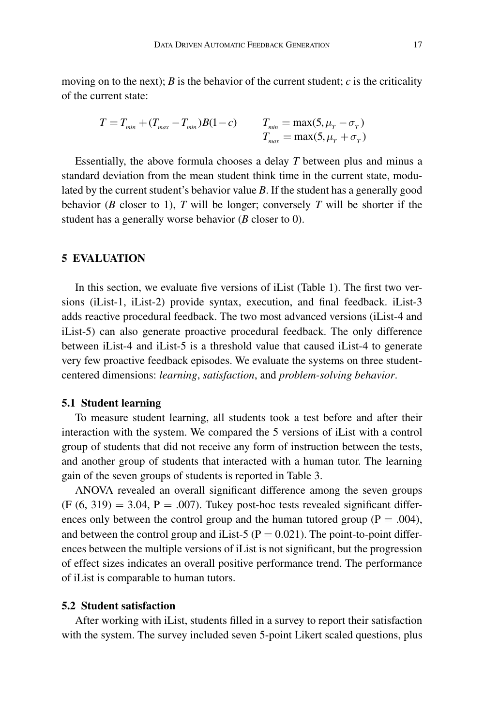moving on to the next); *B* is the behavior of the current student; *c* is the criticality of the current state:

$$
T = T_{min} + (T_{max} - T_{min})B(1 - c)
$$
  
\n
$$
T_{min} = \max(5, \mu_T - \sigma_T)
$$
  
\n
$$
T_{max} = \max(5, \mu_T + \sigma_T)
$$

Essentially, the above formula chooses a delay *T* between plus and minus a standard deviation from the mean student think time in the current state, modulated by the current student's behavior value *B*. If the student has a generally good behavior (*B* closer to 1), *T* will be longer; conversely *T* will be shorter if the student has a generally worse behavior (*B* closer to 0).

#### **5 EVALUATION**

In this section, we evaluate five versions of iList (Table 1). The first two versions (iList-1, iList-2) provide syntax, execution, and final feedback. iList-3 adds reactive procedural feedback. The two most advanced versions (iList-4 and iList-5) can also generate proactive procedural feedback. The only difference between iList-4 and iList-5 is a threshold value that caused iList-4 to generate very few proactive feedback episodes. We evaluate the systems on three studentcentered dimensions: *learning*, *satisfaction*, and *problem-solving behavior*.

#### **5.1 Student learning**

To measure student learning, all students took a test before and after their interaction with the system. We compared the 5 versions of iList with a control group of students that did not receive any form of instruction between the tests, and another group of students that interacted with a human tutor. The learning gain of the seven groups of students is reported in Table 3.

ANOVA revealed an overall significant difference among the seven groups  $(F (6, 319) = 3.04, P = .007)$ . Tukey post-hoc tests revealed significant differences only between the control group and the human tutored group ( $P = .004$ ), and between the control group and iList-5 ( $P = 0.021$ ). The point-to-point differences between the multiple versions of iList is not significant, but the progression of effect sizes indicates an overall positive performance trend. The performance of iList is comparable to human tutors.

## **5.2 Student satisfaction**

After working with iList, students filled in a survey to report their satisfaction with the system. The survey included seven 5-point Likert scaled questions, plus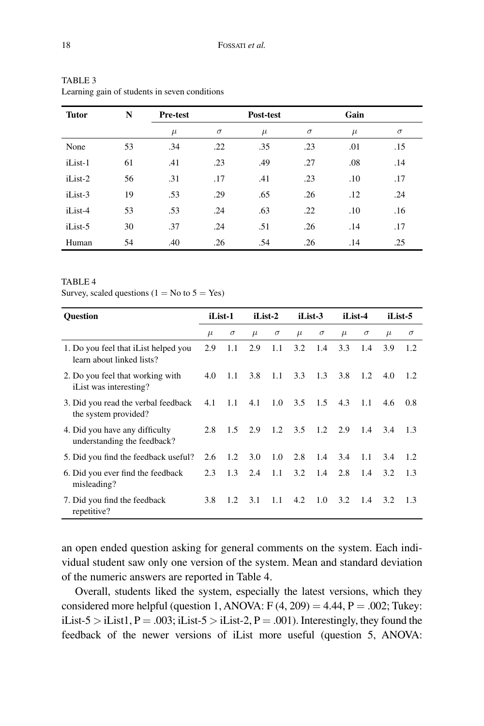| <b>Tutor</b> | N  | <b>Pre-test</b> |          | Post-test |          |       |          |
|--------------|----|-----------------|----------|-----------|----------|-------|----------|
|              |    | $\mu$           | $\sigma$ | $\mu$     | $\sigma$ | $\mu$ | $\sigma$ |
| None         | 53 | .34             | .22      | .35       | .23      | .01   | .15      |
| iList-1      | 61 | .41             | .23      | .49       | .27      | .08   | .14      |
| iList-2      | 56 | .31             | .17      | .41       | .23      | .10   | .17      |
| iList-3      | 19 | .53             | .29      | .65       | .26      | .12   | .24      |
| iList-4      | 53 | .53             | .24      | .63       | .22      | .10   | .16      |
| iList-5      | 30 | .37             | .24      | .51       | .26      | .14   | .17      |
| Human        | 54 | .40             | .26      | .54       | .26      | .14   | .25      |

| TABLE 3 |                                               |  |
|---------|-----------------------------------------------|--|
|         | Learning gain of students in seven conditions |  |

#### TABLE<sub>4</sub>

Survey, scaled questions ( $1 = No$  to  $5 = Yes$ )

| <b>Ouestion</b>                                                   |       | iList-1  |       | iList-2       |                           | iList-3       |       | iList-4  |       | iList-5  |  |
|-------------------------------------------------------------------|-------|----------|-------|---------------|---------------------------|---------------|-------|----------|-------|----------|--|
|                                                                   | $\mu$ | $\sigma$ | $\mu$ | $\sigma$      | $\mu$                     | $\sigma$      | $\mu$ | $\sigma$ | $\mu$ | $\sigma$ |  |
| 1. Do you feel that iList helped you<br>learn about linked lists? | 2.9   | 1.1      | 2.9   | 1.1           | 3.2                       | 1.4           | 3.3   | 1.4      | 3.9   | 1.2      |  |
| 2. Do you feel that working with<br>iList was interesting?        | 4.0   | 1.1      | 3.8   | 1.1           | 3.3                       | 1.3           | 3.8   | 1.2      | 4.0   | 1.2      |  |
| 3. Did you read the verbal feedback<br>the system provided?       | 4.1   | 1.1      | 4.1   | $1.0^{\circ}$ | 3.5                       | 1.5           | 4.3   | 1.1      | 4.6   | 0.8      |  |
| 4. Did you have any difficulty<br>understanding the feedback?     | 2.8   | $1.5 -$  | 2.9   |               | $1.2 \quad 3.5 \quad 1.2$ |               | 2.9   | 1.4      | 3.4   | 1.3      |  |
| 5. Did you find the feedback useful?                              | 2.6   | 1.2      | 3.0   | 1.0           | 2.8                       | 1.4           | 3.4   | 1.1      | 3.4   | 1.2      |  |
| 6. Did you ever find the feedback<br>misleading?                  | 2.3   | 1.3      | 2.4   | 1.1           | 3.2                       | 1.4           | 2.8   | 1.4      | 3.2   | 1.3      |  |
| 7. Did you find the feedback<br>repetitive?                       | 3.8   | 1.2      | 3.1   | 1.1           | 4.2                       | $1.0^{\circ}$ | 3.2   | 1.4      | 3.2   | 1.3      |  |

an open ended question asking for general comments on the system. Each individual student saw only one version of the system. Mean and standard deviation of the numeric answers are reported in Table 4.

Overall, students liked the system, especially the latest versions, which they considered more helpful (question 1, ANOVA:  $F(4, 209) = 4.44$ ,  $P = .002$ ; Tukey: iList-5 > iList1,  $P = .003$ ; iList-5 > iList-2,  $P = .001$ ). Interestingly, they found the feedback of the newer versions of iList more useful (question 5, ANOVA: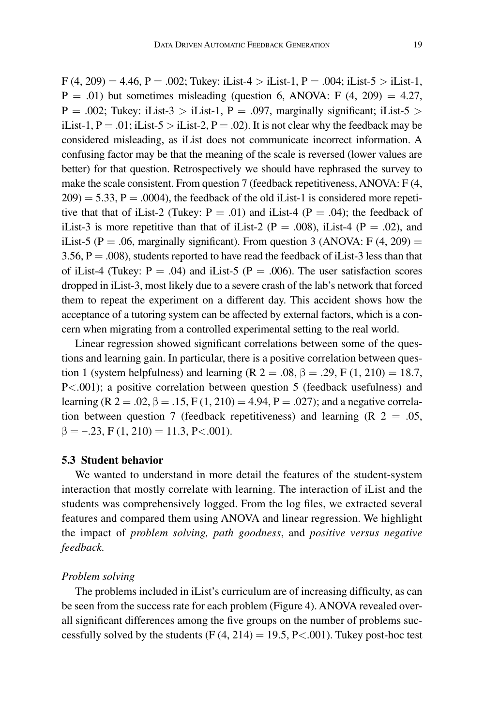$F(4, 209) = 4.46$ ,  $P = .002$ ; Tukey: iList-4 > iList-1,  $P = .004$ ; iList-5 > iList-1,  $P = .01$ ) but sometimes misleading (question 6, ANOVA: F (4, 209) = 4.27,  $P = .002$ ; Tukey: iList-3 > iList-1, P = .097, marginally significant; iList-5 > iList-1,  $P = .01$ ; iList-5 > iList-2,  $P = .02$ ). It is not clear why the feedback may be considered misleading, as iList does not communicate incorrect information. A confusing factor may be that the meaning of the scale is reversed (lower values are better) for that question. Retrospectively we should have rephrased the survey to make the scale consistent. From question 7 (feedback repetitiveness, ANOVA: F (4,  $209$  = 5.33, P = .0004), the feedback of the old iList-1 is considered more repetitive that that of iList-2 (Tukey:  $P = .01$ ) and iList-4 ( $P = .04$ ); the feedback of iList-3 is more repetitive than that of iList-2 ( $P = .008$ ), iList-4 ( $P = .02$ ), and iList-5 (P = .06, marginally significant). From question 3 (ANOVA: F  $(4, 209)$  = 3.56,  $P = .008$ ), students reported to have read the feedback of iList-3 less than that of iList-4 (Tukey:  $P = .04$ ) and iList-5 ( $P = .006$ ). The user satisfaction scores dropped in iList-3, most likely due to a severe crash of the lab's network that forced them to repeat the experiment on a different day. This accident shows how the acceptance of a tutoring system can be affected by external factors, which is a concern when migrating from a controlled experimental setting to the real world.

Linear regression showed significant correlations between some of the questions and learning gain. In particular, there is a positive correlation between question 1 (system helpfulness) and learning (R  $2 = .08$ ,  $\beta = .29$ , F (1, 210) = 18.7, P<.001); a positive correlation between question 5 (feedback usefulness) and learning (R 2 = .02,  $\beta$  = .15, F (1, 210) = 4.94, P = .027); and a negative correlation between question 7 (feedback repetitiveness) and learning  $(R \t2 = .05,$  $\beta = -.23$ , F (1, 210) = 11.3, P<.001).

## **5.3 Student behavior**

We wanted to understand in more detail the features of the student-system interaction that mostly correlate with learning. The interaction of iList and the students was comprehensively logged. From the log files, we extracted several features and compared them using ANOVA and linear regression. We highlight the impact of *problem solving, path goodness*, and *positive versus negative feedback.*

### *Problem solving*

The problems included in iList's curriculum are of increasing difficulty, as can be seen from the success rate for each problem (Figure 4). ANOVA revealed overall significant differences among the five groups on the number of problems successfully solved by the students  $(F(4, 214) = 19.5, P \lt 0.001)$ . Tukey post-hoc test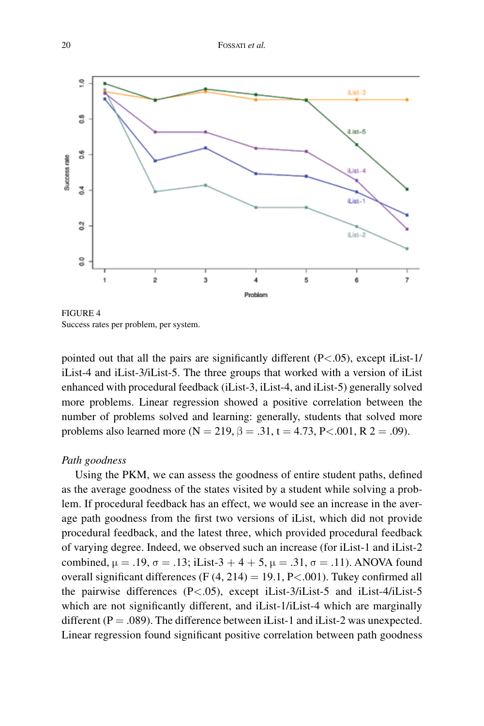

FIGURE 4 Success rates per problem, per system.

pointed out that all the pairs are significantly different  $(P<.05)$ , except iList-1/ iList-4 and iList-3/iList-5. The three groups that worked with a version of iList enhanced with procedural feedback (iList-3, iList-4, and iList-5) generally solved more problems. Linear regression showed a positive correlation between the number of problems solved and learning: generally, students that solved more problems also learned more ( $N = 219$ ,  $\beta = .31$ ,  $t = 4.73$ ,  $P < .001$ ,  $R$  2 = .09).

## *Path goodness*

Using the PKM, we can assess the goodness of entire student paths, defined as the average goodness of the states visited by a student while solving a problem. If procedural feedback has an effect, we would see an increase in the average path goodness from the first two versions of iList, which did not provide procedural feedback, and the latest three, which provided procedural feedback of varying degree. Indeed, we observed such an increase (for iList-1 and iList-2 combined, μ = .19, σ = .13; iList-3 + 4 + 5, μ = .31, σ = .11). ANOVA found overall significant differences (F  $(4, 214) = 19.1$ , P<.001). Tukey confirmed all the pairwise differences (P<.05), except iList-3/iList-5 and iList-4/iList-5 which are not significantly different, and iList-1/iList-4 which are marginally different ( $P = .089$ ). The difference between iList-1 and iList-2 was unexpected. Linear regression found significant positive correlation between path goodness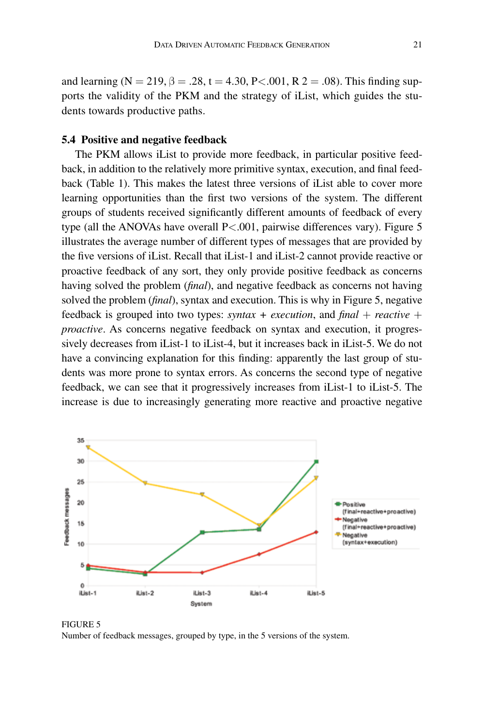and learning (N = 219,  $\beta = .28$ , t = 4.30, P < .001, R 2 = .08). This finding supports the validity of the PKM and the strategy of iList, which guides the students towards productive paths.

#### **5.4 Positive and negative feedback**

The PKM allows iList to provide more feedback, in particular positive feedback, in addition to the relatively more primitive syntax, execution, and final feedback (Table 1). This makes the latest three versions of iList able to cover more learning opportunities than the first two versions of the system. The different groups of students received significantly different amounts of feedback of every type (all the ANOVAs have overall P<.001, pairwise differences vary). Figure 5 illustrates the average number of different types of messages that are provided by the five versions of iList. Recall that iList-1 and iList-2 cannot provide reactive or proactive feedback of any sort, they only provide positive feedback as concerns having solved the problem (*final*), and negative feedback as concerns not having solved the problem (*final*), syntax and execution. This is why in Figure 5, negative feedback is grouped into two types: *syntax + execution*, and  $\beta$ *final + reactive + proactive*. As concerns negative feedback on syntax and execution, it progressively decreases from iList-1 to iList-4, but it increases back in iList-5. We do not have a convincing explanation for this finding: apparently the last group of students was more prone to syntax errors. As concerns the second type of negative feedback, we can see that it progressively increases from iList-1 to iList-5. The increase is due to increasingly generating more reactive and proactive negative



Figure 5 Number of feedback messages, grouped by type, in the 5 versions of the system.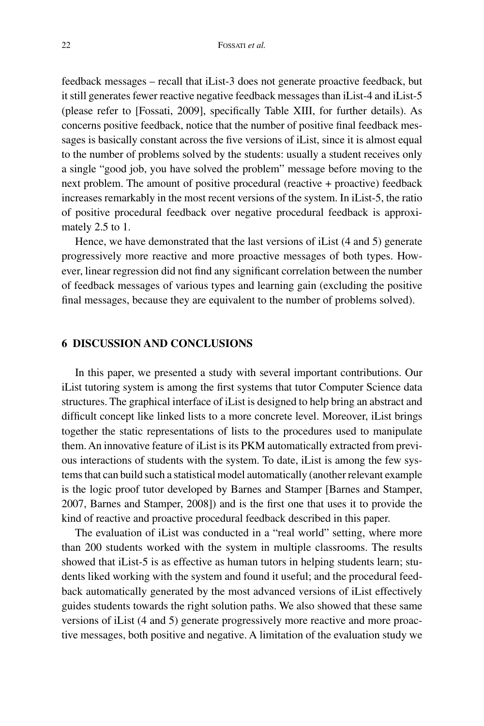feedback messages – recall that iList-3 does not generate proactive feedback, but it still generates fewer reactive negative feedback messages than iList-4 and iList-5 (please refer to [Fossati, 2009], specifically Table XIII, for further details). As concerns positive feedback, notice that the number of positive final feedback messages is basically constant across the five versions of iList, since it is almost equal to the number of problems solved by the students: usually a student receives only a single "good job, you have solved the problem" message before moving to the next problem. The amount of positive procedural (reactive + proactive) feedback increases remarkably in the most recent versions of the system. In iList-5, the ratio of positive procedural feedback over negative procedural feedback is approximately 2.5 to 1.

Hence, we have demonstrated that the last versions of iList (4 and 5) generate progressively more reactive and more proactive messages of both types. However, linear regression did not find any significant correlation between the number of feedback messages of various types and learning gain (excluding the positive final messages, because they are equivalent to the number of problems solved).

### **6 DISCUSSION AND CONCLUSIONS**

In this paper, we presented a study with several important contributions. Our iList tutoring system is among the first systems that tutor Computer Science data structures. The graphical interface of iList is designed to help bring an abstract and difficult concept like linked lists to a more concrete level. Moreover, iList brings together the static representations of lists to the procedures used to manipulate them. An innovative feature of iList is its PKM automatically extracted from previous interactions of students with the system. To date, iList is among the few systems that can build such a statistical model automatically (another relevant example is the logic proof tutor developed by Barnes and Stamper [Barnes and Stamper, 2007, Barnes and Stamper, 2008]) and is the first one that uses it to provide the kind of reactive and proactive procedural feedback described in this paper.

The evaluation of iList was conducted in a "real world" setting, where more than 200 students worked with the system in multiple classrooms. The results showed that iList-5 is as effective as human tutors in helping students learn; students liked working with the system and found it useful; and the procedural feedback automatically generated by the most advanced versions of iList effectively guides students towards the right solution paths. We also showed that these same versions of iList (4 and 5) generate progressively more reactive and more proactive messages, both positive and negative. A limitation of the evaluation study we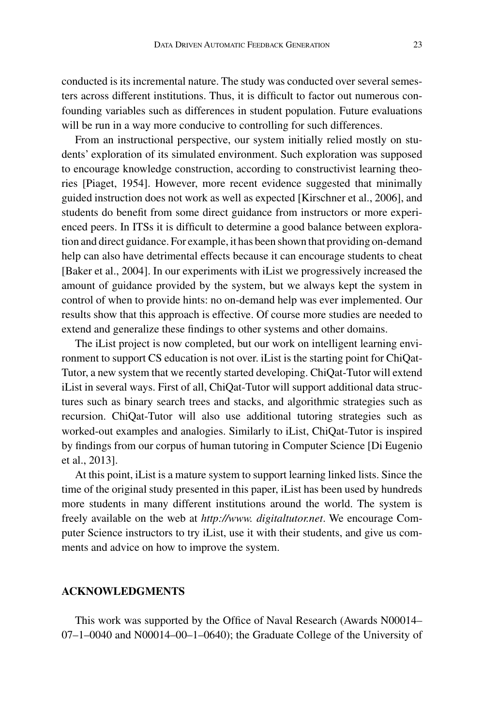conducted is its incremental nature. The study was conducted over several semesters across different institutions. Thus, it is difficult to factor out numerous confounding variables such as differences in student population. Future evaluations will be run in a way more conducive to controlling for such differences.

From an instructional perspective, our system initially relied mostly on students' exploration of its simulated environment. Such exploration was supposed to encourage knowledge construction, according to constructivist learning theories [Piaget, 1954]. However, more recent evidence suggested that minimally guided instruction does not work as well as expected [Kirschner et al., 2006], and students do benefit from some direct guidance from instructors or more experienced peers. In ITSs it is difficult to determine a good balance between exploration and direct guidance. For example, it has been shown that providing on-demand help can also have detrimental effects because it can encourage students to cheat [Baker et al., 2004]. In our experiments with iList we progressively increased the amount of guidance provided by the system, but we always kept the system in control of when to provide hints: no on-demand help was ever implemented. Our results show that this approach is effective. Of course more studies are needed to extend and generalize these findings to other systems and other domains.

The iList project is now completed, but our work on intelligent learning environment to support CS education is not over. iList is the starting point for ChiQat-Tutor, a new system that we recently started developing. ChiQat-Tutor will extend iList in several ways. First of all, ChiQat-Tutor will support additional data structures such as binary search trees and stacks, and algorithmic strategies such as recursion. ChiQat-Tutor will also use additional tutoring strategies such as worked-out examples and analogies. Similarly to iList, ChiQat-Tutor is inspired by findings from our corpus of human tutoring in Computer Science [Di Eugenio et al., 2013].

At this point, iList is a mature system to support learning linked lists. Since the time of the original study presented in this paper, iList has been used by hundreds more students in many different institutions around the world. The system is freely available on the web at *http://www. digitaltutor.net*. We encourage Computer Science instructors to try iList, use it with their students, and give us comments and advice on how to improve the system.

# **ACKNOWLEDGMENTS**

This work was supported by the Office of Naval Research (Awards N00014– 07–1–0040 and N00014–00–1–0640); the Graduate College of the University of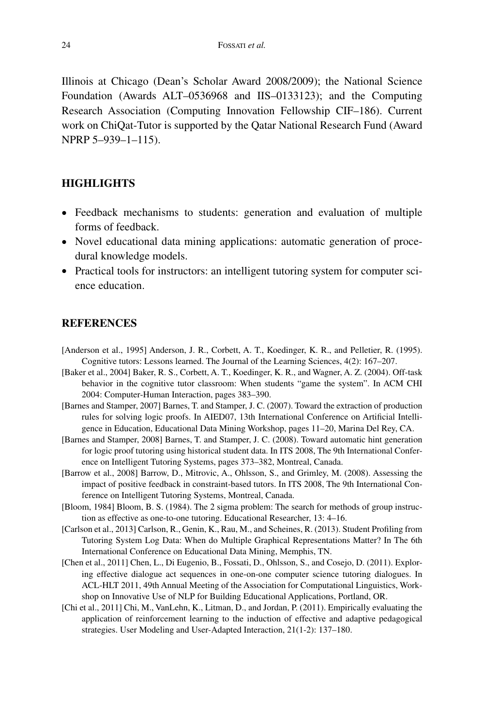Illinois at Chicago (Dean's Scholar Award 2008/2009); the National Science Foundation (Awards ALT–0536968 and IIS–0133123); and the Computing Research Association (Computing Innovation Fellowship CIF–186). Current work on ChiQat-Tutor is supported by the Qatar National Research Fund (Award NPRP 5–939–1–115).

# **HIGHLIGHTS**

- Feedback mechanisms to students: generation and evaluation of multiple forms of feedback.
- Novel educational data mining applications: automatic generation of procedural knowledge models.
- Practical tools for instructors: an intelligent tutoring system for computer science education.

# **REFERENCES**

- [Anderson et al., 1995] Anderson, J. R., Corbett, A. T., Koedinger, K. R., and Pelletier, R. (1995). Cognitive tutors: Lessons learned. The Journal of the Learning Sciences, 4(2): 167–207.
- [Baker et al., 2004] Baker, R. S., Corbett, A. T., Koedinger, K. R., and Wagner, A. Z. (2004). Off-task behavior in the cognitive tutor classroom: When students "game the system". In ACM CHI 2004: Computer-Human Interaction, pages 383–390.
- [Barnes and Stamper, 2007] Barnes, T. and Stamper, J. C. (2007). Toward the extraction of production rules for solving logic proofs. In AIED07, 13th International Conference on Artificial Intelligence in Education, Educational Data Mining Workshop, pages 11–20, Marina Del Rey, CA.
- [Barnes and Stamper, 2008] Barnes, T. and Stamper, J. C. (2008). Toward automatic hint generation for logic proof tutoring using historical student data. In ITS 2008, The 9th International Conference on Intelligent Tutoring Systems, pages 373–382, Montreal, Canada.
- [Barrow et al., 2008] Barrow, D., Mitrovic, A., Ohlsson, S., and Grimley, M. (2008). Assessing the impact of positive feedback in constraint-based tutors. In ITS 2008, The 9th International Conference on Intelligent Tutoring Systems, Montreal, Canada.
- [Bloom, 1984] Bloom, B. S. (1984). The 2 sigma problem: The search for methods of group instruction as effective as one-to-one tutoring. Educational Researcher, 13: 4–16.
- [Carlson et al., 2013] Carlson, R., Genin, K., Rau, M., and Scheines, R. (2013). Student Profiling from Tutoring System Log Data: When do Multiple Graphical Representations Matter? In The 6th International Conference on Educational Data Mining, Memphis, TN.
- [Chen et al., 2011] Chen, L., Di Eugenio, B., Fossati, D., Ohlsson, S., and Cosejo, D. (2011). Exploring effective dialogue act sequences in one-on-one computer science tutoring dialogues. In ACL-HLT 2011, 49th Annual Meeting of the Association for Computational Linguistics, Workshop on Innovative Use of NLP for Building Educational Applications, Portland, OR.
- [Chi et al., 2011] Chi, M., VanLehn, K., Litman, D., and Jordan, P. (2011). Empirically evaluating the application of reinforcement learning to the induction of effective and adaptive pedagogical strategies. User Modeling and User-Adapted Interaction, 21(1-2): 137–180.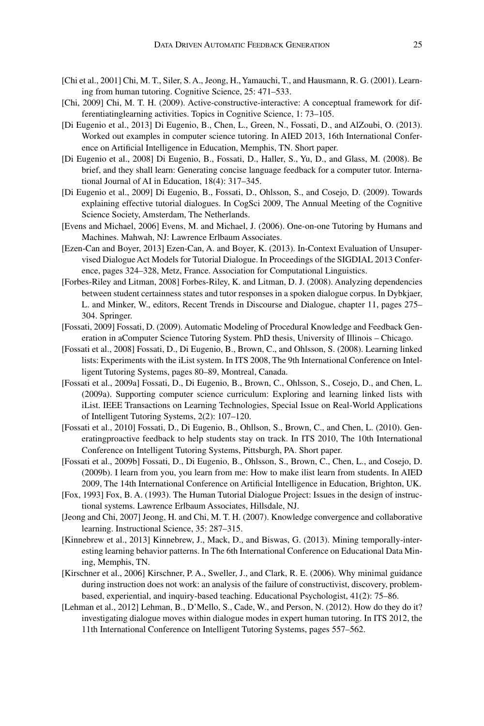- [Chi et al., 2001] Chi, M. T., Siler, S. A., Jeong, H., Yamauchi, T., and Hausmann, R. G. (2001). Learning from human tutoring. Cognitive Science, 25: 471–533.
- [Chi, 2009] Chi, M. T. H. (2009). Active-constructive-interactive: A conceptual framework for differentiatinglearning activities. Topics in Cognitive Science, 1: 73–105.
- [Di Eugenio et al., 2013] Di Eugenio, B., Chen, L., Green, N., Fossati, D., and AlZoubi, O. (2013). Worked out examples in computer science tutoring. In AIED 2013, 16th International Conference on Artificial Intelligence in Education, Memphis, TN. Short paper.
- [Di Eugenio et al., 2008] Di Eugenio, B., Fossati, D., Haller, S., Yu, D., and Glass, M. (2008). Be brief, and they shall learn: Generating concise language feedback for a computer tutor. International Journal of AI in Education, 18(4): 317–345.
- [Di Eugenio et al., 2009] Di Eugenio, B., Fossati, D., Ohlsson, S., and Cosejo, D. (2009). Towards explaining effective tutorial dialogues. In CogSci 2009, The Annual Meeting of the Cognitive Science Society, Amsterdam, The Netherlands.
- [Evens and Michael, 2006] Evens, M. and Michael, J. (2006). One-on-one Tutoring by Humans and Machines. Mahwah, NJ: Lawrence Erlbaum Associates.
- [Ezen-Can and Boyer, 2013] Ezen-Can, A. and Boyer, K. (2013). In-Context Evaluation of Unsupervised Dialogue Act Models for Tutorial Dialogue. In Proceedings of the SIGDIAL 2013 Conference, pages 324–328, Metz, France. Association for Computational Linguistics.
- [Forbes-Riley and Litman, 2008] Forbes-Riley, K. and Litman, D. J. (2008). Analyzing dependencies between student certainness states and tutor responses in a spoken dialogue corpus. In Dybkjaer, L. and Minker, W., editors, Recent Trends in Discourse and Dialogue, chapter 11, pages 275– 304. Springer.
- [Fossati, 2009] Fossati, D. (2009). Automatic Modeling of Procedural Knowledge and Feedback Generation in aComputer Science Tutoring System. PhD thesis, University of Illinois – Chicago.
- [Fossati et al., 2008] Fossati, D., Di Eugenio, B., Brown, C., and Ohlsson, S. (2008). Learning linked lists: Experiments with the iList system. In ITS 2008, The 9th International Conference on Intelligent Tutoring Systems, pages 80–89, Montreal, Canada.
- [Fossati et al., 2009a] Fossati, D., Di Eugenio, B., Brown, C., Ohlsson, S., Cosejo, D., and Chen, L. (2009a). Supporting computer science curriculum: Exploring and learning linked lists with iList. IEEE Transactions on Learning Technologies, Special Issue on Real-World Applications of Intelligent Tutoring Systems, 2(2): 107–120.
- [Fossati et al., 2010] Fossati, D., Di Eugenio, B., Ohllson, S., Brown, C., and Chen, L. (2010). Generatingproactive feedback to help students stay on track. In ITS 2010, The 10th International Conference on Intelligent Tutoring Systems, Pittsburgh, PA. Short paper.
- [Fossati et al., 2009b] Fossati, D., Di Eugenio, B., Ohlsson, S., Brown, C., Chen, L., and Cosejo, D. (2009b). I learn from you, you learn from me: How to make ilist learn from students. In AIED 2009, The 14th International Conference on Artificial Intelligence in Education, Brighton, UK.
- [Fox, 1993] Fox, B. A. (1993). The Human Tutorial Dialogue Project: Issues in the design of instructional systems. Lawrence Erlbaum Associates, Hillsdale, NJ.
- [Jeong and Chi, 2007] Jeong, H. and Chi, M. T. H. (2007). Knowledge convergence and collaborative learning. Instructional Science, 35: 287–315.
- [Kinnebrew et al., 2013] Kinnebrew, J., Mack, D., and Biswas, G. (2013). Mining temporally-interesting learning behavior patterns. In The 6th International Conference on Educational Data Mining, Memphis, TN.
- [Kirschner et al., 2006] Kirschner, P. A., Sweller, J., and Clark, R. E. (2006). Why minimal guidance during instruction does not work: an analysis of the failure of constructivist, discovery, problembased, experiential, and inquiry-based teaching. Educational Psychologist, 41(2): 75–86.
- [Lehman et al., 2012] Lehman, B., D'Mello, S., Cade, W., and Person, N. (2012). How do they do it? investigating dialogue moves within dialogue modes in expert human tutoring. In ITS 2012, the 11th International Conference on Intelligent Tutoring Systems, pages 557–562.